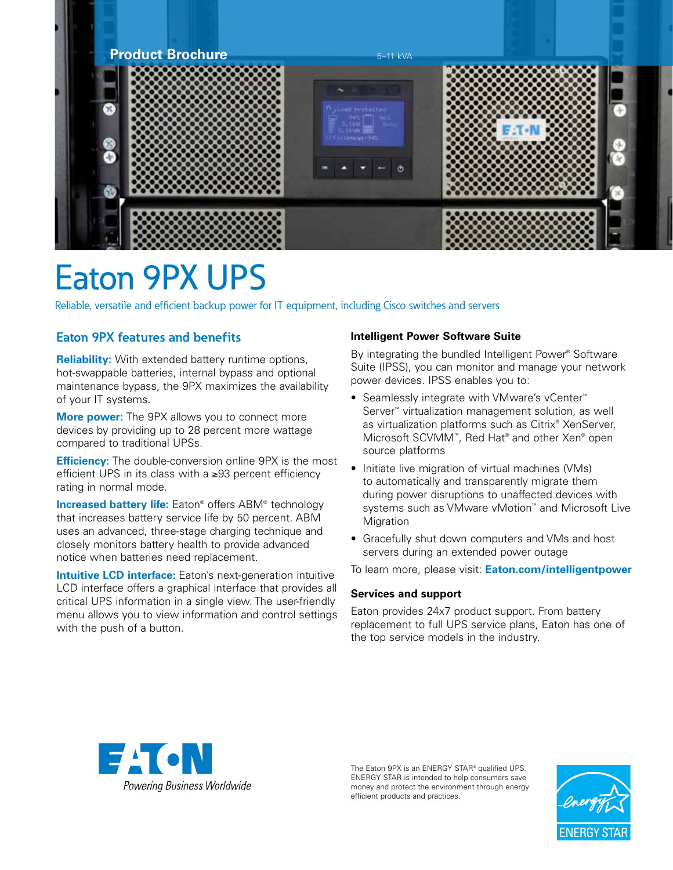

# Eaton 9PX UPS

Reliable, versatile and efficient backup power for IT equipment, including Cisco switches and servers

# **Eaton 9PX features and benefits**

**Reliability:** With extended battery runtime options, hot-swappable batteries, internal bypass and optional maintenance bypass, the 9PX maximizes the availability of your IT systems.

**More power:** The 9PX allows you to connect more devices by providing up to 28 percent more wattage compared to traditional UPSs.

**Efficiency:** The double-conversion online 9PX is the most efficient UPS in its class with a ≥93 percent efficiency rating in normal mode.

**Increased battery life:** Eaton® offers ABM® technology that increases battery service life by 50 percent. ABM uses an advanced, three-stage charging technique and closely monitors battery health to provide advanced notice when batteries need replacement.

**Intuitive LCD interface:** Eaton's next-generation intuitive LCD interface offers a graphical interface that provides all critical UPS information in a single view. The user-friendly menu allows you to view information and control settings with the push of a button.

## **Intelligent Power Software Suite**

By integrating the bundled Intelligent Power® Software Suite (IPSS), you can monitor and manage your network power devices. IPSS enables you to:

- Seamlessly integrate with VMware's vCenter<sup>™</sup> Server™ virtualization management solution, as well as virtualization platforms such as Citrix® XenServer, Microsoft SCVMM<sup>™</sup>, Red Hat® and other Xen® open source platforms
- Initiate live migration of virtual machines (VMs) to automatically and transparently migrate them during power disruptions to unaffected devices with systems such as VMware vMotion™ and Microsoft Live **Migration**
- Gracefully shut down computers and VMs and host servers during an extended power outage

To learn more, please visit: **Eaton.com/intelligentpower**

### **Services and support**

Eaton provides 24x7 product support. From battery replacement to full UPS service plans, Eaton has one of the top service models in the industry.



The Eaton 9PX is an ENERGY STAR® qualified UPS. ENERGY STAR is intended to help consumers save money and protect the environment through energy efficient products and practices.

![](_page_0_Picture_19.jpeg)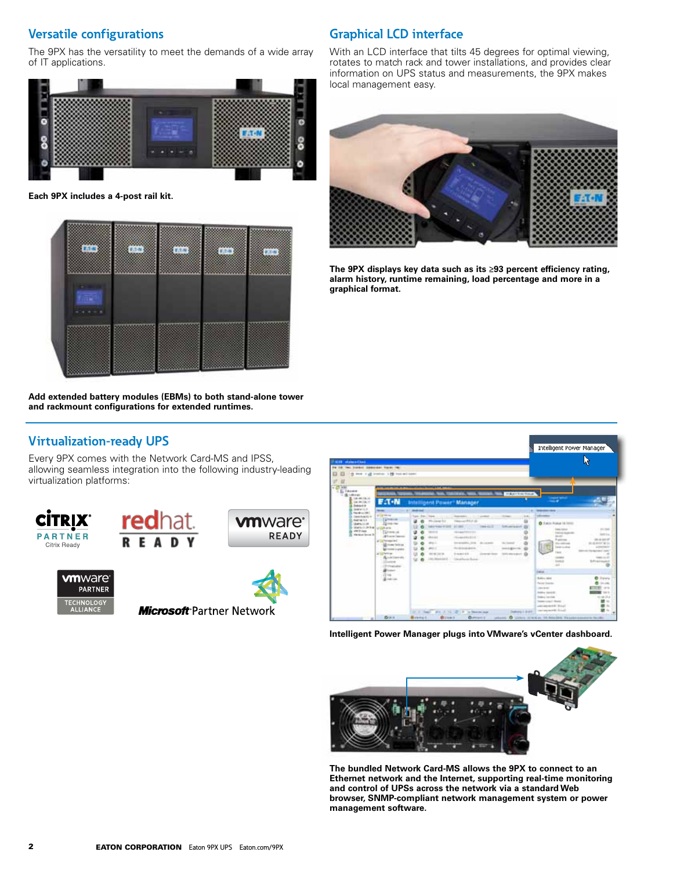## **Versatile configurations**

The 9PX has the versatility to meet the demands of a wide array of IT applications.

![](_page_1_Picture_2.jpeg)

**Each 9PX includes a 4-post rail kit.**

![](_page_1_Picture_4.jpeg)

**Add extended battery modules (EBMs) to both stand-alone tower and rackmount configurations for extended runtimes.**

# **Graphical LCD interface**

With an LCD interface that tilts 45 degrees for optimal viewing, rotates to match rack and tower installations, and provides clear information on UPS status and measurements, the 9PX makes local management easy.

![](_page_1_Picture_8.jpeg)

**The 9PX displays key data such as its ≥93 percent efficiency rating, alarm history, runtime remaining, load percentage and more in a graphical format.**

|  | <b>Virtualization-ready UPS</b> |  |
|--|---------------------------------|--|
|--|---------------------------------|--|

Every 9PX comes with the Network Card-MS and IPSS, allowing seamless integration into the following industry-leading virtualization platforms:

![](_page_1_Picture_12.jpeg)

![](_page_1_Picture_13.jpeg)

![](_page_1_Picture_14.jpeg)

Microsoft Partner Network

![](_page_1_Picture_16.jpeg)

**Intelligent Power Manager plugs into VMware's vCenter dashboard.**

![](_page_1_Picture_18.jpeg)

**The bundled Network Card-MS allows the 9PX to connect to an Ethernet network and the Internet, supporting real-time monitoring and control of UPSs across the network via a standard Web browser, SNMP-compliant network management system or power management software.**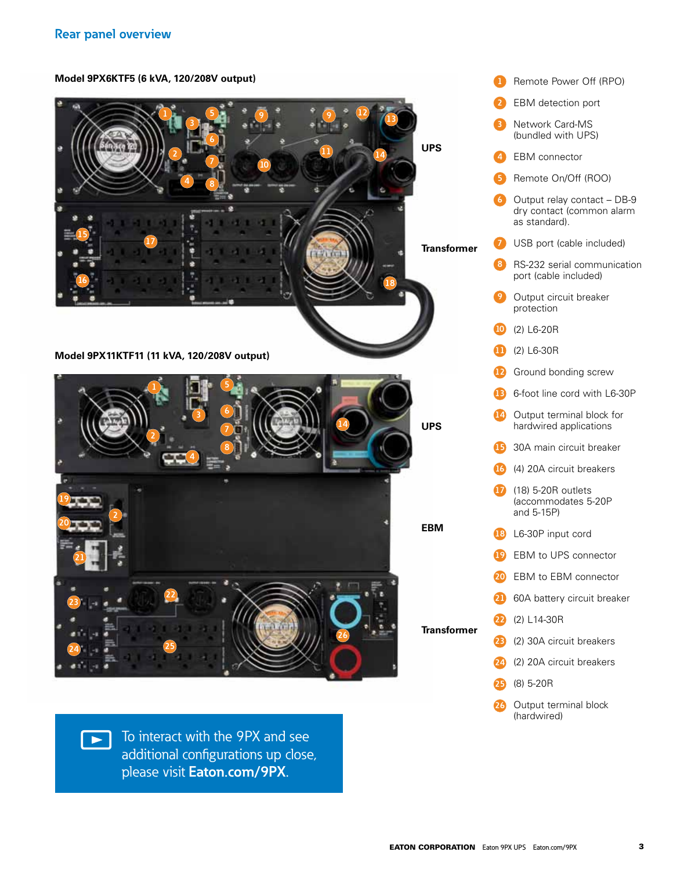**Model 9PX6KTF5 (6 kVA, 120/208V output)**

![](_page_2_Picture_2.jpeg)

![](_page_2_Picture_3.jpeg)

 $\sqrt{\phantom{a}}$  To interact with the 9PX and see additional configurations up close, please visit **Eaton.com/9PX**.

|     |                                    | <b>1</b> Remote Power Off (RPO)                                           |
|-----|------------------------------------|---------------------------------------------------------------------------|
|     |                                    | 2 EBM detection port                                                      |
|     | 8                                  | <b>Network Card-MS</b><br>(bundled with UPS)                              |
|     |                                    | 4 EBM connector                                                           |
|     |                                    | <b>B</b> Remote On/Off (ROO)                                              |
|     | 6                                  | Output relay contact - DB-9<br>dry contact (common alarm<br>as standard). |
| ۱er |                                    | <b>7</b> USB port (cable included)                                        |
|     | 8                                  | RS-232 serial communication<br>port (cable included)                      |
|     | $\bullet$                          | Output circuit breaker<br>protection                                      |
|     |                                    | 10 (2) L6-20R                                                             |
|     |                                    | $(2)$ L6-30R                                                              |
|     |                                    | <sup>12</sup> Ground bonding screw                                        |
|     |                                    | <b>B</b> 6-foot line cord with L6-30P                                     |
|     | ❹                                  | Output terminal block for<br>hardwired applications                       |
|     |                                    | <b>B</b> 30A main circuit breaker                                         |
|     |                                    | (4) 20A circuit breakers                                                  |
|     | $\boldsymbol{\boldsymbol{\omega}}$ | (18) 5-20R outlets<br>(accommodates 5-20P<br>and 5-15P)                   |
|     |                                    | 18 L6-30P input cord                                                      |
|     |                                    | <b>D</b> EBM to UPS connector                                             |
|     | (20)                               | EBM to EBM connector                                                      |
|     | 20                                 | 60A battery circuit breaker                                               |
| ۱er | $\boldsymbol{\mathbf{\Omega}}$     | (2) L14-30R                                                               |
|     | 23                                 | (2) 30A circuit breakers                                                  |
|     | Ø                                  | (2) 20A circuit breakers                                                  |
|     | க                                  | $(8)$ 5-20R                                                               |
|     | 26                                 | Output terminal block<br>(hardwired)                                      |